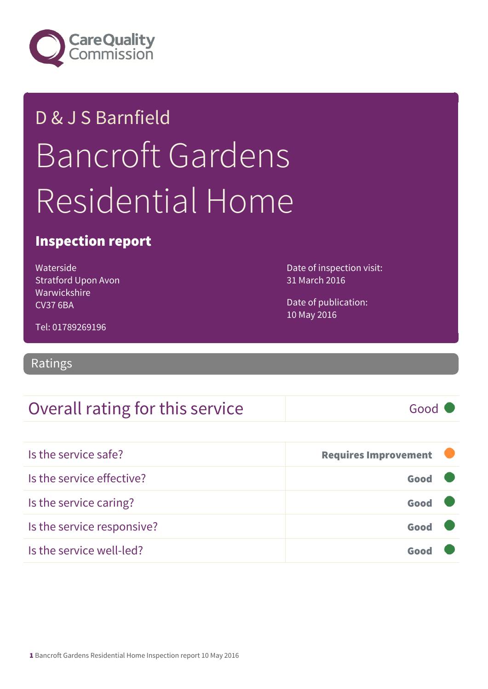

# D & J S Barnfield Bancroft Gardens Residential Home

### Inspection report

Waterside Stratford Upon Avon Warwickshire CV37 6BA

Date of inspection visit: 31 March 2016

Date of publication: 10 May 2016

Tel: 01789269196

Ratings

## Overall rating for this service and all the Good C

| Is the service safe?       | <b>Requires Improvement</b> |  |
|----------------------------|-----------------------------|--|
| Is the service effective?  | Good                        |  |
| Is the service caring?     | Good                        |  |
| Is the service responsive? | Good                        |  |
| Is the service well-led?   |                             |  |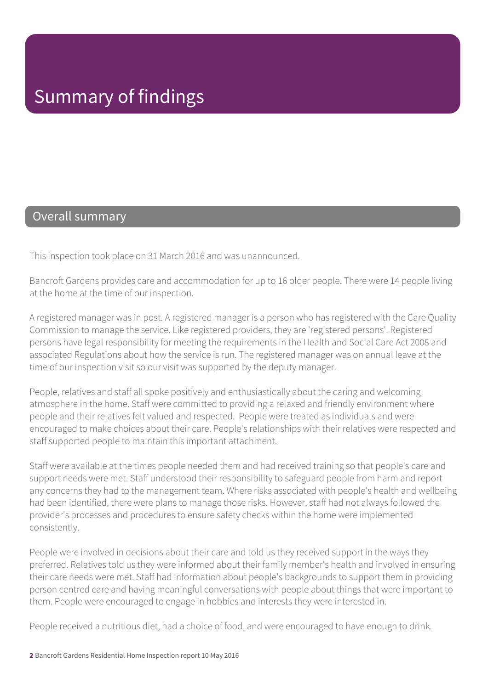#### Overall summary

This inspection took place on 31 March 2016 and was unannounced.

Bancroft Gardens provides care and accommodation for up to 16 older people. There were 14 people living at the home at the time of our inspection.

A registered manager was in post. A registered manager is a person who has registered with the Care Quality Commission to manage the service. Like registered providers, they are 'registered persons'. Registered persons have legal responsibility for meeting the requirements in the Health and Social Care Act 2008 and associated Regulations about how the service is run. The registered manager was on annual leave at the time of our inspection visit so our visit was supported by the deputy manager.

People, relatives and staff all spoke positively and enthusiastically about the caring and welcoming atmosphere in the home. Staff were committed to providing a relaxed and friendly environment where people and their relatives felt valued and respected. People were treated as individuals and were encouraged to make choices about their care. People's relationships with their relatives were respected and staff supported people to maintain this important attachment.

Staff were available at the times people needed them and had received training so that people's care and support needs were met. Staff understood their responsibility to safeguard people from harm and report any concerns they had to the management team. Where risks associated with people's health and wellbeing had been identified, there were plans to manage those risks. However, staff had not always followed the provider's processes and procedures to ensure safety checks within the home were implemented consistently.

People were involved in decisions about their care and told us they received support in the ways they preferred. Relatives told us they were informed about their family member's health and involved in ensuring their care needs were met. Staff had information about people's backgrounds to support them in providing person centred care and having meaningful conversations with people about things that were important to them. People were encouraged to engage in hobbies and interests they were interested in.

People received a nutritious diet, had a choice of food, and were encouraged to have enough to drink.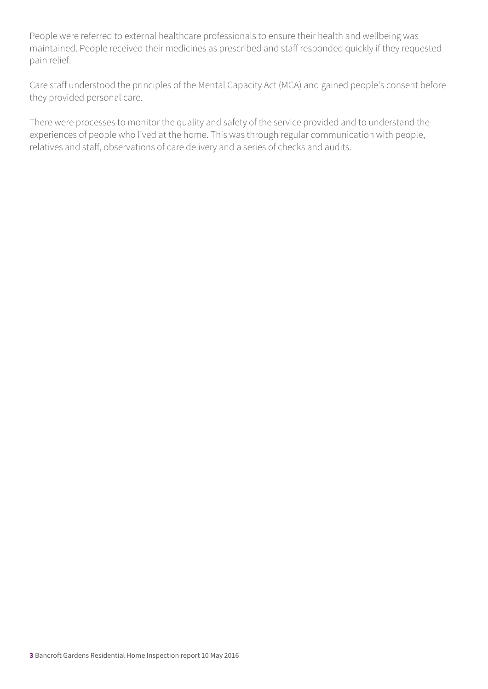People were referred to external healthcare professionals to ensure their health and wellbeing was maintained. People received their medicines as prescribed and staff responded quickly if they requested pain relief.

Care staff understood the principles of the Mental Capacity Act (MCA) and gained people's consent before they provided personal care.

There were processes to monitor the quality and safety of the service provided and to understand the experiences of people who lived at the home. This was through regular communication with people, relatives and staff, observations of care delivery and a series of checks and audits.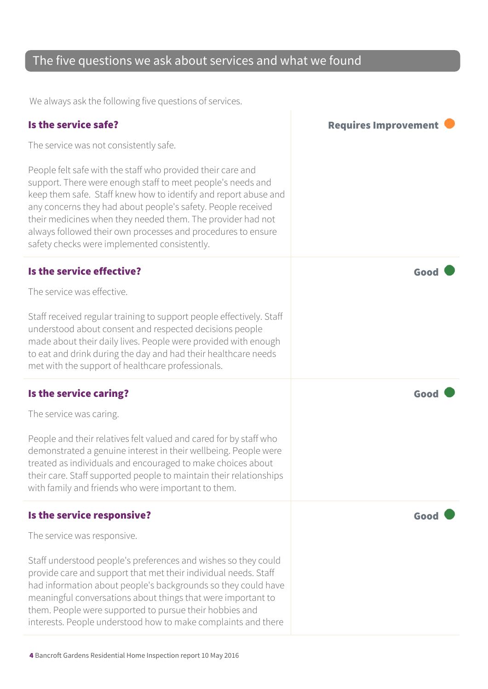## The five questions we ask about services and what we found

We always ask the following five questions of services.

| Is the service safe?                                                                                                                                                                                                                                                                                                                                                                                                                         | <b>Requires Improvement</b> |
|----------------------------------------------------------------------------------------------------------------------------------------------------------------------------------------------------------------------------------------------------------------------------------------------------------------------------------------------------------------------------------------------------------------------------------------------|-----------------------------|
| The service was not consistently safe.                                                                                                                                                                                                                                                                                                                                                                                                       |                             |
| People felt safe with the staff who provided their care and<br>support. There were enough staff to meet people's needs and<br>keep them safe. Staff knew how to identify and report abuse and<br>any concerns they had about people's safety. People received<br>their medicines when they needed them. The provider had not<br>always followed their own processes and procedures to ensure<br>safety checks were implemented consistently. |                             |
| Is the service effective?<br>The service was effective.                                                                                                                                                                                                                                                                                                                                                                                      | Good                        |
| Staff received regular training to support people effectively. Staff<br>understood about consent and respected decisions people<br>made about their daily lives. People were provided with enough<br>to eat and drink during the day and had their healthcare needs<br>met with the support of healthcare professionals.                                                                                                                     |                             |
| Is the service caring?                                                                                                                                                                                                                                                                                                                                                                                                                       | Good                        |
| The service was caring.                                                                                                                                                                                                                                                                                                                                                                                                                      |                             |
| People and their relatives felt valued and cared for by staff who<br>demonstrated a genuine interest in their wellbeing. People were<br>treated as individuals and encouraged to make choices about<br>their care. Staff supported people to maintain their relationships<br>with family and friends who were important to them.                                                                                                             |                             |
| Is the service responsive?                                                                                                                                                                                                                                                                                                                                                                                                                   | Good                        |
| The service was responsive.                                                                                                                                                                                                                                                                                                                                                                                                                  |                             |
| Staff understood people's preferences and wishes so they could<br>provide care and support that met their individual needs. Staff<br>had information about people's backgrounds so they could have<br>meaningful conversations about things that were important to<br>them. People were supported to pursue their hobbies and<br>interests. People understood how to make complaints and there                                               |                             |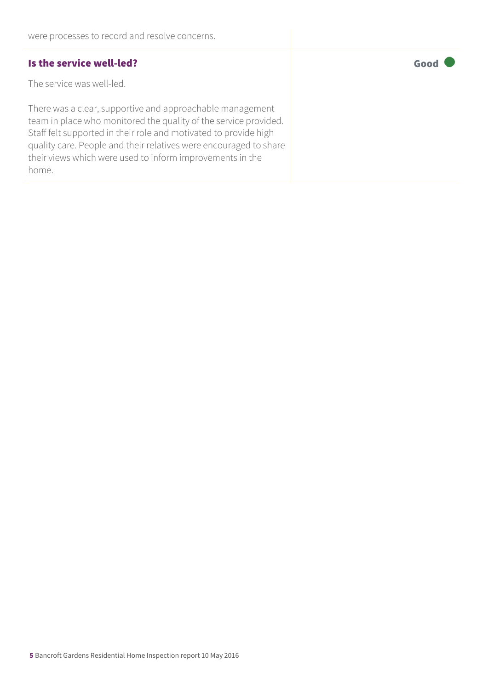#### Is the service well-led? The service well-led?

The service was well-led.

There was a clear, supportive and approachable management team in place who monitored the quality of the service provided. Staff felt supported in their role and motivated to provide high quality care. People and their relatives were encouraged to share their views which were used to inform improvements in the home.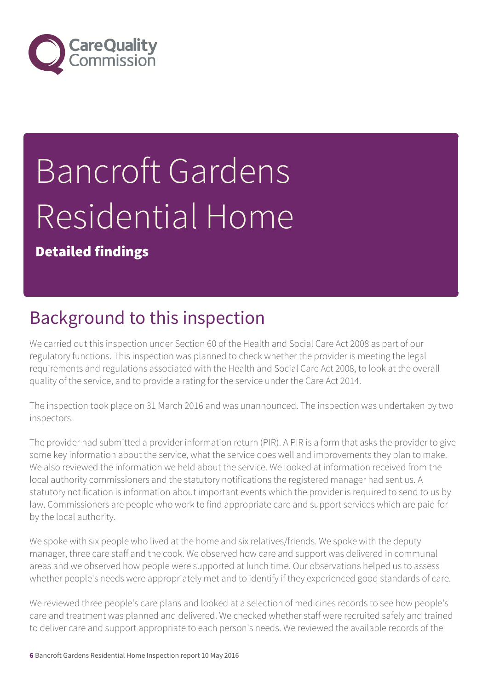

# Bancroft Gardens Residential Home

Detailed findings

# Background to this inspection

We carried out this inspection under Section 60 of the Health and Social Care Act 2008 as part of our regulatory functions. This inspection was planned to check whether the provider is meeting the legal requirements and regulations associated with the Health and Social Care Act 2008, to look at the overall quality of the service, and to provide a rating for the service under the Care Act 2014.

The inspection took place on 31 March 2016 and was unannounced. The inspection was undertaken by two inspectors.

The provider had submitted a provider information return (PIR). A PIR is a form that asks the provider to give some key information about the service, what the service does well and improvements they plan to make. We also reviewed the information we held about the service. We looked at information received from the local authority commissioners and the statutory notifications the registered manager had sent us. A statutory notification is information about important events which the provider is required to send to us by law. Commissioners are people who work to find appropriate care and support services which are paid for by the local authority.

We spoke with six people who lived at the home and six relatives/friends. We spoke with the deputy manager, three care staff and the cook. We observed how care and support was delivered in communal areas and we observed how people were supported at lunch time. Our observations helped us to assess whether people's needs were appropriately met and to identify if they experienced good standards of care.

We reviewed three people's care plans and looked at a selection of medicines records to see how people's care and treatment was planned and delivered. We checked whether staff were recruited safely and trained to deliver care and support appropriate to each person's needs. We reviewed the available records of the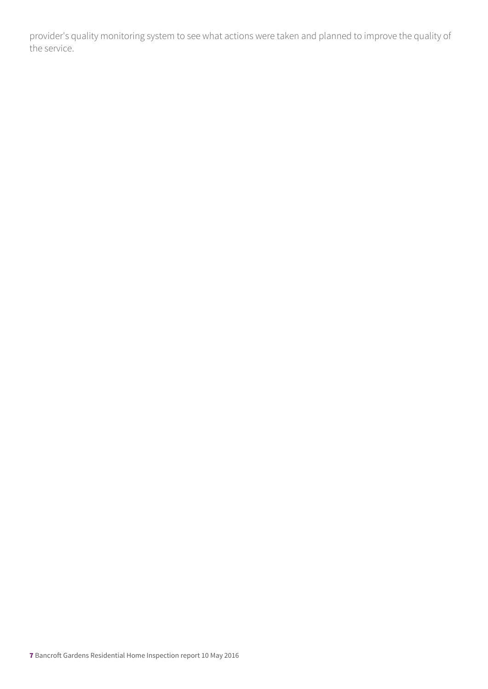provider's quality monitoring system to see what actions were taken and planned to improve the quality of the service.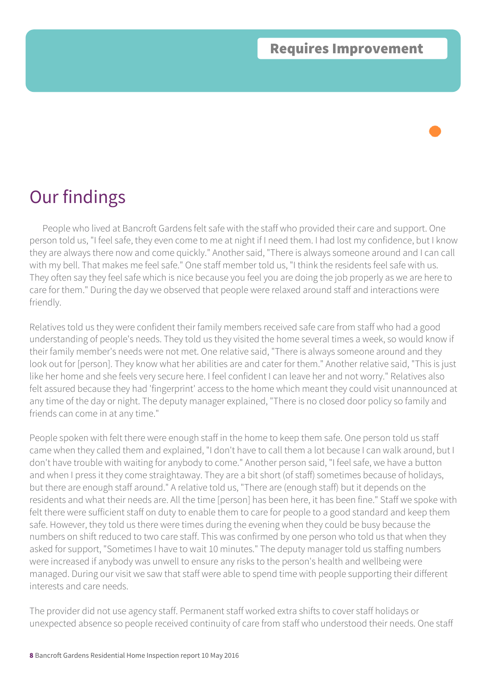People who lived at Bancroft Gardens felt safe with the staff who provided their care and support. One person told us, "I feel safe, they even come to me at night if I need them. I had lost my confidence, but I know they are always there now and come quickly." Another said, "There is always someone around and I can call with my bell. That makes me feel safe." One staff member told us, "I think the residents feel safe with us. They often say they feel safe which is nice because you feel you are doing the job properly as we are here to care for them." During the day we observed that people were relaxed around staff and interactions were friendly.

Relatives told us they were confident their family members received safe care from staff who had a good understanding of people's needs. They told us they visited the home several times a week, so would know if their family member's needs were not met. One relative said, "There is always someone around and they look out for [person]. They know what her abilities are and cater for them." Another relative said, "This is just like her home and she feels very secure here. I feel confident I can leave her and not worry." Relatives also felt assured because they had 'fingerprint' access to the home which meant they could visit unannounced at any time of the day or night. The deputy manager explained, "There is no closed door policy so family and friends can come in at any time."

People spoken with felt there were enough staff in the home to keep them safe. One person told us staff came when they called them and explained, "I don't have to call them a lot because I can walk around, but I don't have trouble with waiting for anybody to come." Another person said, "I feel safe, we have a button and when I press it they come straightaway. They are a bit short (of staff) sometimes because of holidays, but there are enough staff around." A relative told us, "There are (enough staff) but it depends on the residents and what their needs are. All the time [person] has been here, it has been fine." Staff we spoke with felt there were sufficient staff on duty to enable them to care for people to a good standard and keep them safe. However, they told us there were times during the evening when they could be busy because the numbers on shift reduced to two care staff. This was confirmed by one person who told us that when they asked for support, "Sometimes I have to wait 10 minutes." The deputy manager told us staffing numbers were increased if anybody was unwell to ensure any risks to the person's health and wellbeing were managed. During our visit we saw that staff were able to spend time with people supporting their different interests and care needs.

The provider did not use agency staff. Permanent staff worked extra shifts to cover staff holidays or unexpected absence so people received continuity of care from staff who understood their needs. One staff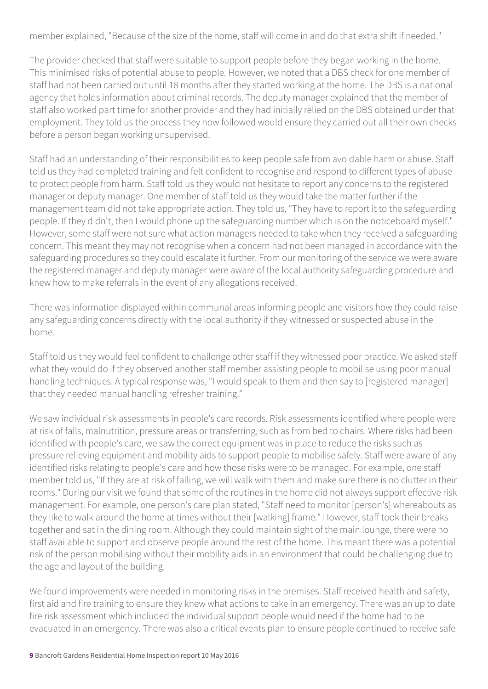member explained, "Because of the size of the home, staff will come in and do that extra shift if needed."

The provider checked that staff were suitable to support people before they began working in the home. This minimised risks of potential abuse to people. However, we noted that a DBS check for one member of staff had not been carried out until 18 months after they started working at the home. The DBS is a national agency that holds information about criminal records. The deputy manager explained that the member of staff also worked part time for another provider and they had initially relied on the DBS obtained under that employment. They told us the process they now followed would ensure they carried out all their own checks before a person began working unsupervised.

Staff had an understanding of their responsibilities to keep people safe from avoidable harm or abuse. Staff told us they had completed training and felt confident to recognise and respond to different types of abuse to protect people from harm. Staff told us they would not hesitate to report any concerns to the registered manager or deputy manager. One member of staff told us they would take the matter further if the management team did not take appropriate action. They told us, "They have to report it to the safeguarding people. If they didn't, then I would phone up the safeguarding number which is on the noticeboard myself." However, some staff were not sure what action managers needed to take when they received a safeguarding concern. This meant they may not recognise when a concern had not been managed in accordance with the safeguarding procedures so they could escalate it further. From our monitoring of the service we were aware the registered manager and deputy manager were aware of the local authority safeguarding procedure and knew how to make referrals in the event of any allegations received.

There was information displayed within communal areas informing people and visitors how they could raise any safeguarding concerns directly with the local authority if they witnessed or suspected abuse in the home.

Staff told us they would feel confident to challenge other staff if they witnessed poor practice. We asked staff what they would do if they observed another staff member assisting people to mobilise using poor manual handling techniques. A typical response was, "I would speak to them and then say to [registered manager] that they needed manual handling refresher training."

We saw individual risk assessments in people's care records. Risk assessments identified where people were at risk of falls, malnutrition, pressure areas or transferring, such as from bed to chairs. Where risks had been identified with people's care, we saw the correct equipment was in place to reduce the risks such as pressure relieving equipment and mobility aids to support people to mobilise safely. Staff were aware of any identified risks relating to people's care and how those risks were to be managed. For example, one staff member told us, "If they are at risk of falling, we will walk with them and make sure there is no clutter in their rooms." During our visit we found that some of the routines in the home did not always support effective risk management. For example, one person's care plan stated, "Staff need to monitor [person's] whereabouts as they like to walk around the home at times without their [walking] frame." However, staff took their breaks together and sat in the dining room. Although they could maintain sight of the main lounge, there were no staff available to support and observe people around the rest of the home. This meant there was a potential risk of the person mobilising without their mobility aids in an environment that could be challenging due to the age and layout of the building.

We found improvements were needed in monitoring risks in the premises. Staff received health and safety, first aid and fire training to ensure they knew what actions to take in an emergency. There was an up to date fire risk assessment which included the individual support people would need if the home had to be evacuated in an emergency. There was also a critical events plan to ensure people continued to receive safe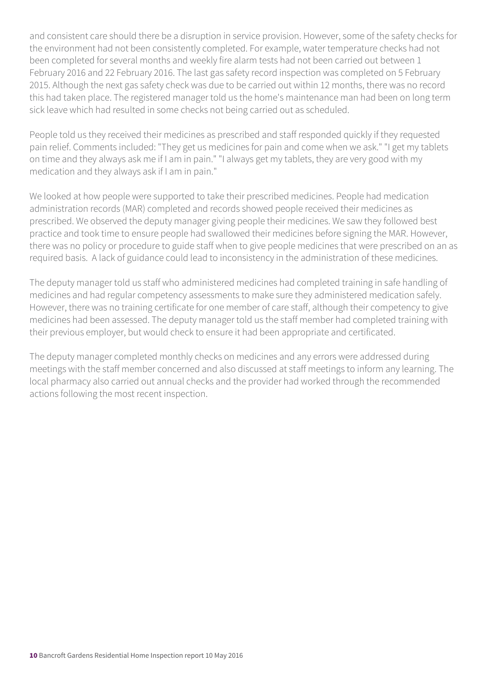and consistent care should there be a disruption in service provision. However, some of the safety checks for the environment had not been consistently completed. For example, water temperature checks had not been completed for several months and weekly fire alarm tests had not been carried out between 1 February 2016 and 22 February 2016. The last gas safety record inspection was completed on 5 February 2015. Although the next gas safety check was due to be carried out within 12 months, there was no record this had taken place. The registered manager told us the home's maintenance man had been on long term sick leave which had resulted in some checks not being carried out as scheduled.

People told us they received their medicines as prescribed and staff responded quickly if they requested pain relief. Comments included: "They get us medicines for pain and come when we ask." "I get my tablets on time and they always ask me if I am in pain." "I always get my tablets, they are very good with my medication and they always ask if I am in pain."

We looked at how people were supported to take their prescribed medicines. People had medication administration records (MAR) completed and records showed people received their medicines as prescribed. We observed the deputy manager giving people their medicines. We saw they followed best practice and took time to ensure people had swallowed their medicines before signing the MAR. However, there was no policy or procedure to guide staff when to give people medicines that were prescribed on an as required basis. A lack of guidance could lead to inconsistency in the administration of these medicines.

The deputy manager told us staff who administered medicines had completed training in safe handling of medicines and had regular competency assessments to make sure they administered medication safely. However, there was no training certificate for one member of care staff, although their competency to give medicines had been assessed. The deputy manager told us the staff member had completed training with their previous employer, but would check to ensure it had been appropriate and certificated.

The deputy manager completed monthly checks on medicines and any errors were addressed during meetings with the staff member concerned and also discussed at staff meetings to inform any learning. The local pharmacy also carried out annual checks and the provider had worked through the recommended actions following the most recent inspection.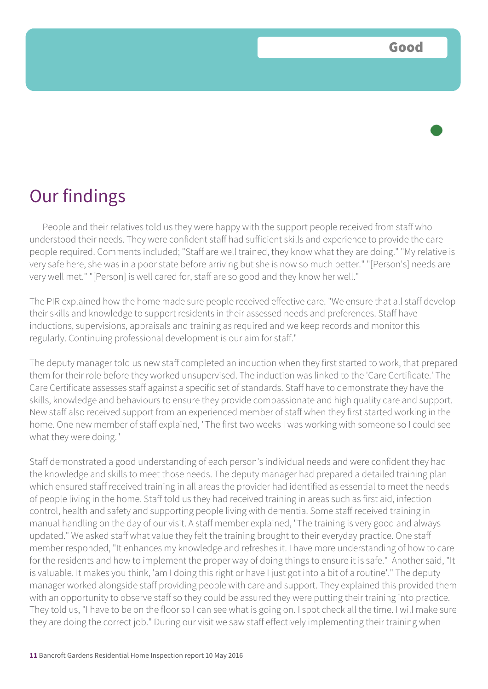People and their relatives told us they were happy with the support people received from staff who understood their needs. They were confident staff had sufficient skills and experience to provide the care people required. Comments included; "Staff are well trained, they know what they are doing." "My relative is very safe here, she was in a poor state before arriving but she is now so much better." "[Person's] needs are very well met." "[Person] is well cared for, staff are so good and they know her well."

The PIR explained how the home made sure people received effective care. "We ensure that all staff develop their skills and knowledge to support residents in their assessed needs and preferences. Staff have inductions, supervisions, appraisals and training as required and we keep records and monitor this regularly. Continuing professional development is our aim for staff."

The deputy manager told us new staff completed an induction when they first started to work, that prepared them for their role before they worked unsupervised. The induction was linked to the 'Care Certificate.' The Care Certificate assesses staff against a specific set of standards. Staff have to demonstrate they have the skills, knowledge and behaviours to ensure they provide compassionate and high quality care and support. New staff also received support from an experienced member of staff when they first started working in the home. One new member of staff explained, "The first two weeks I was working with someone so I could see what they were doing."

Staff demonstrated a good understanding of each person's individual needs and were confident they had the knowledge and skills to meet those needs. The deputy manager had prepared a detailed training plan which ensured staff received training in all areas the provider had identified as essential to meet the needs of people living in the home. Staff told us they had received training in areas such as first aid, infection control, health and safety and supporting people living with dementia. Some staff received training in manual handling on the day of our visit. A staff member explained, "The training is very good and always updated." We asked staff what value they felt the training brought to their everyday practice. One staff member responded, "It enhances my knowledge and refreshes it. I have more understanding of how to care for the residents and how to implement the proper way of doing things to ensure it is safe." Another said, "It is valuable. It makes you think, 'am I doing this right or have I just got into a bit of a routine'." The deputy manager worked alongside staff providing people with care and support. They explained this provided them with an opportunity to observe staff so they could be assured they were putting their training into practice. They told us, "I have to be on the floor so I can see what is going on. I spot check all the time. I will make sure they are doing the correct job." During our visit we saw staff effectively implementing their training when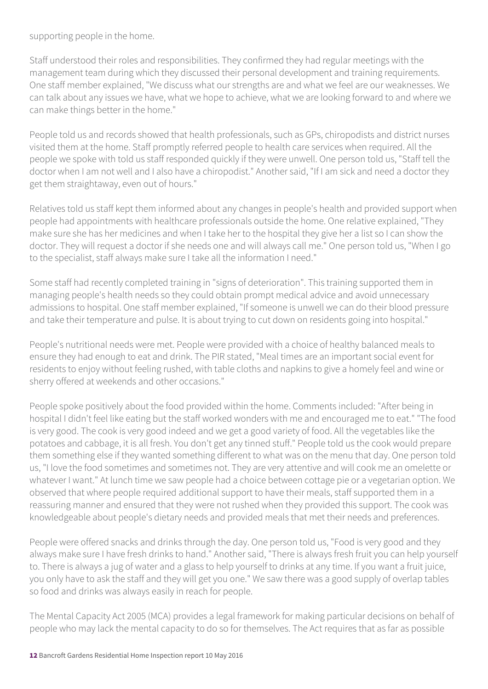supporting people in the home.

Staff understood their roles and responsibilities. They confirmed they had regular meetings with the management team during which they discussed their personal development and training requirements. One staff member explained, "We discuss what our strengths are and what we feel are our weaknesses. We can talk about any issues we have, what we hope to achieve, what we are looking forward to and where we can make things better in the home."

People told us and records showed that health professionals, such as GPs, chiropodists and district nurses visited them at the home. Staff promptly referred people to health care services when required. All the people we spoke with told us staff responded quickly if they were unwell. One person told us, "Staff tell the doctor when I am not well and I also have a chiropodist." Another said, "If I am sick and need a doctor they get them straightaway, even out of hours."

Relatives told us staff kept them informed about any changes in people's health and provided support when people had appointments with healthcare professionals outside the home. One relative explained, "They make sure she has her medicines and when I take her to the hospital they give her a list so I can show the doctor. They will request a doctor if she needs one and will always call me." One person told us, "When I go to the specialist, staff always make sure I take all the information I need."

Some staff had recently completed training in "signs of deterioration". This training supported them in managing people's health needs so they could obtain prompt medical advice and avoid unnecessary admissions to hospital. One staff member explained, "If someone is unwell we can do their blood pressure and take their temperature and pulse. It is about trying to cut down on residents going into hospital."

People's nutritional needs were met. People were provided with a choice of healthy balanced meals to ensure they had enough to eat and drink. The PIR stated, "Meal times are an important social event for residents to enjoy without feeling rushed, with table cloths and napkins to give a homely feel and wine or sherry offered at weekends and other occasions."

People spoke positively about the food provided within the home. Comments included: "After being in hospital I didn't feel like eating but the staff worked wonders with me and encouraged me to eat." "The food is very good. The cook is very good indeed and we get a good variety of food. All the vegetables like the potatoes and cabbage, it is all fresh. You don't get any tinned stuff." People told us the cook would prepare them something else if they wanted something different to what was on the menu that day. One person told us, "I love the food sometimes and sometimes not. They are very attentive and will cook me an omelette or whatever I want." At lunch time we saw people had a choice between cottage pie or a vegetarian option. We observed that where people required additional support to have their meals, staff supported them in a reassuring manner and ensured that they were not rushed when they provided this support. The cook was knowledgeable about people's dietary needs and provided meals that met their needs and preferences.

People were offered snacks and drinks through the day. One person told us, "Food is very good and they always make sure I have fresh drinks to hand." Another said, "There is always fresh fruit you can help yourself to. There is always a jug of water and a glass to help yourself to drinks at any time. If you want a fruit juice, you only have to ask the staff and they will get you one." We saw there was a good supply of overlap tables so food and drinks was always easily in reach for people.

The Mental Capacity Act 2005 (MCA) provides a legal framework for making particular decisions on behalf of people who may lack the mental capacity to do so for themselves. The Act requires that as far as possible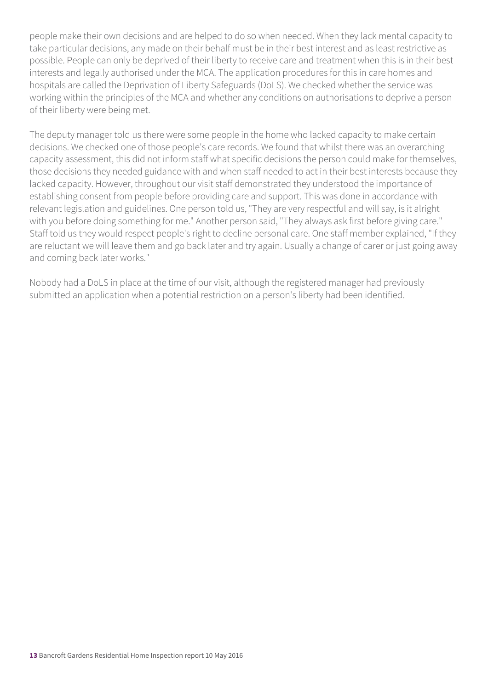people make their own decisions and are helped to do so when needed. When they lack mental capacity to take particular decisions, any made on their behalf must be in their best interest and as least restrictive as possible. People can only be deprived of their liberty to receive care and treatment when this is in their best interests and legally authorised under the MCA. The application procedures for this in care homes and hospitals are called the Deprivation of Liberty Safeguards (DoLS). We checked whether the service was working within the principles of the MCA and whether any conditions on authorisations to deprive a person of their liberty were being met.

The deputy manager told us there were some people in the home who lacked capacity to make certain decisions. We checked one of those people's care records. We found that whilst there was an overarching capacity assessment, this did not inform staff what specific decisions the person could make for themselves, those decisions they needed guidance with and when staff needed to act in their best interests because they lacked capacity. However, throughout our visit staff demonstrated they understood the importance of establishing consent from people before providing care and support. This was done in accordance with relevant legislation and guidelines. One person told us, "They are very respectful and will say, is it alright with you before doing something for me." Another person said, "They always ask first before giving care." Staff told us they would respect people's right to decline personal care. One staff member explained, "If they are reluctant we will leave them and go back later and try again. Usually a change of carer or just going away and coming back later works."

Nobody had a DoLS in place at the time of our visit, although the registered manager had previously submitted an application when a potential restriction on a person's liberty had been identified.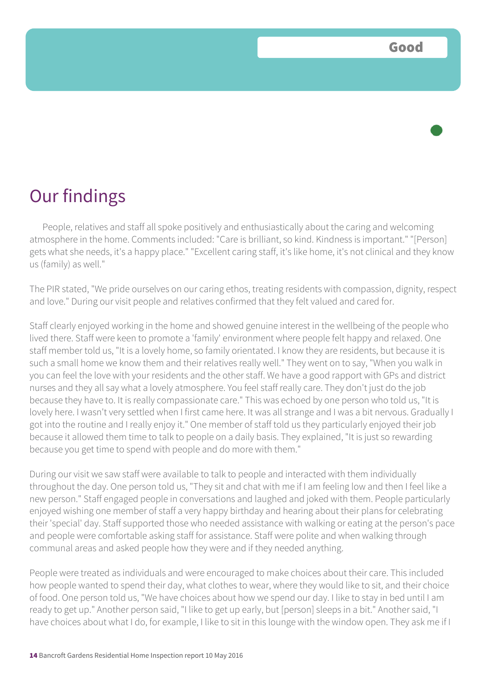People, relatives and staff all spoke positively and enthusiastically about the caring and welcoming atmosphere in the home. Comments included: "Care is brilliant, so kind. Kindness is important." "[Person] gets what she needs, it's a happy place." "Excellent caring staff, it's like home, it's not clinical and they know us (family) as well."

The PIR stated, "We pride ourselves on our caring ethos, treating residents with compassion, dignity, respect and love." During our visit people and relatives confirmed that they felt valued and cared for.

Staff clearly enjoyed working in the home and showed genuine interest in the wellbeing of the people who lived there. Staff were keen to promote a 'family' environment where people felt happy and relaxed. One staff member told us, "It is a lovely home, so family orientated. I know they are residents, but because it is such a small home we know them and their relatives really well." They went on to say, "When you walk in you can feel the love with your residents and the other staff. We have a good rapport with GPs and district nurses and they all say what a lovely atmosphere. You feel staff really care. They don't just do the job because they have to. It is really compassionate care." This was echoed by one person who told us, "It is lovely here. I wasn't very settled when I first came here. It was all strange and I was a bit nervous. Gradually I got into the routine and I really enjoy it." One member of staff told us they particularly enjoyed their job because it allowed them time to talk to people on a daily basis. They explained, "It is just so rewarding because you get time to spend with people and do more with them."

During our visit we saw staff were available to talk to people and interacted with them individually throughout the day. One person told us, "They sit and chat with me if I am feeling low and then I feel like a new person." Staff engaged people in conversations and laughed and joked with them. People particularly enjoyed wishing one member of staff a very happy birthday and hearing about their plans for celebrating their 'special' day. Staff supported those who needed assistance with walking or eating at the person's pace and people were comfortable asking staff for assistance. Staff were polite and when walking through communal areas and asked people how they were and if they needed anything.

People were treated as individuals and were encouraged to make choices about their care. This included how people wanted to spend their day, what clothes to wear, where they would like to sit, and their choice of food. One person told us, "We have choices about how we spend our day. I like to stay in bed until I am ready to get up." Another person said, "I like to get up early, but [person] sleeps in a bit." Another said, "I have choices about what I do, for example, I like to sit in this lounge with the window open. They ask me if I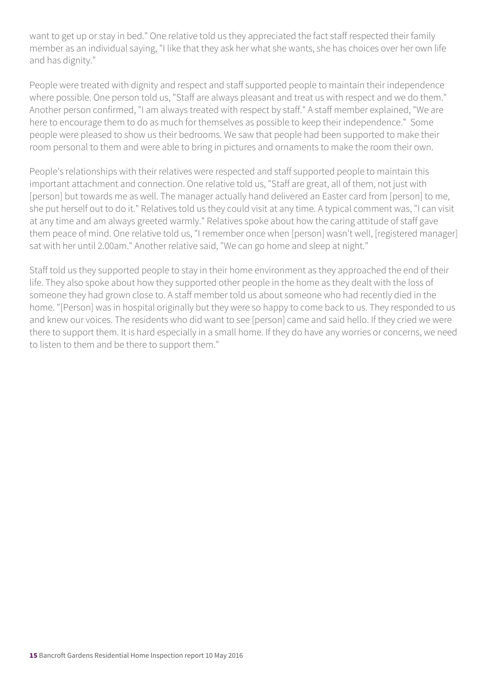want to get up or stay in bed." One relative told us they appreciated the fact staff respected their family member as an individual saying, "I like that they ask her what she wants, she has choices over her own life and has dignity."

People were treated with dignity and respect and staff supported people to maintain their independence where possible. One person told us, "Staff are always pleasant and treat us with respect and we do them." Another person confirmed, "I am always treated with respect by staff." A staff member explained, "We are here to encourage them to do as much for themselves as possible to keep their independence." Some people were pleased to show us their bedrooms. We saw that people had been supported to make their room personal to them and were able to bring in pictures and ornaments to make the room their own.

People's relationships with their relatives were respected and staff supported people to maintain this important attachment and connection. One relative told us, "Staff are great, all of them, not just with [person] but towards me as well. The manager actually hand delivered an Easter card from [person] to me, she put herself out to do it." Relatives told us they could visit at any time. A typical comment was, "I can visit at any time and am always greeted warmly." Relatives spoke about how the caring attitude of staff gave them peace of mind. One relative told us, "I remember once when [person] wasn't well, [registered manager] sat with her until 2.00am." Another relative said, "We can go home and sleep at night."

Staff told us they supported people to stay in their home environment as they approached the end of their life. They also spoke about how they supported other people in the home as they dealt with the loss of someone they had grown close to. A staff member told us about someone who had recently died in the home. "[Person] was in hospital originally but they were so happy to come back to us. They responded to us and knew our voices. The residents who did want to see [person] came and said hello. If they cried we were there to support them. It is hard especially in a small home. If they do have any worries or concerns, we need to listen to them and be there to support them."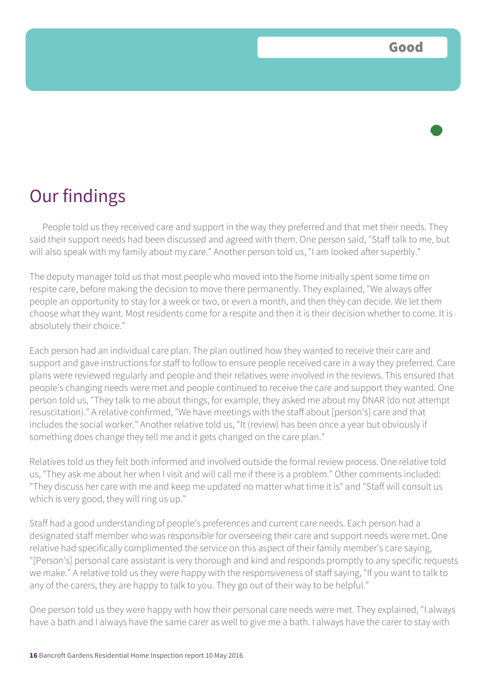People told us they received care and support in the way they preferred and that met their needs. They said their support needs had been discussed and agreed with them. One person said, "Staff talk to me, but will also speak with my family about my care." Another person told us, "I am looked after superbly."

The deputy manager told us that most people who moved into the home initially spent some time on respite care, before making the decision to move there permanently. They explained, "We always offer people an opportunity to stay for a week or two, or even a month, and then they can decide. We let them choose what they want. Most residents come for a respite and then it is their decision whether to come. It is absolutely their choice."

Each person had an individual care plan. The plan outlined how they wanted to receive their care and support and gave instructions for staff to follow to ensure people received care in a way they preferred. Care plans were reviewed regularly and people and their relatives were involved in the reviews. This ensured that people's changing needs were met and people continued to receive the care and support they wanted. One person told us, "They talk to me about things, for example, they asked me about my DNAR (do not attempt resuscitation)." A relative confirmed, "We have meetings with the staff about [person's] care and that includes the social worker." Another relative told us, "It (review) has been once a year but obviously if something does change they tell me and it gets changed on the care plan."

Relatives told us they felt both informed and involved outside the formal review process. One relative told us, "They ask me about her when I visit and will call me if there is a problem." Other comments included: "They discuss her care with me and keep me updated no matter what time it is" and "Staff will consult us which is very good, they will ring us up."

Staff had a good understanding of people's preferences and current care needs. Each person had a designated staff member who was responsible for overseeing their care and support needs were met. One relative had specifically complimented the service on this aspect of their family member's care saying, "[Person's] personal care assistant is very thorough and kind and responds promptly to any specific requests we make." A relative told us they were happy with the responsiveness of staff saying, "If you want to talk to any of the carers, they are happy to talk to you. They go out of their way to be helpful."

One person told us they were happy with how their personal care needs were met. They explained, "I always have a bath and I always have the same carer as well to give me a bath. I always have the carer to stay with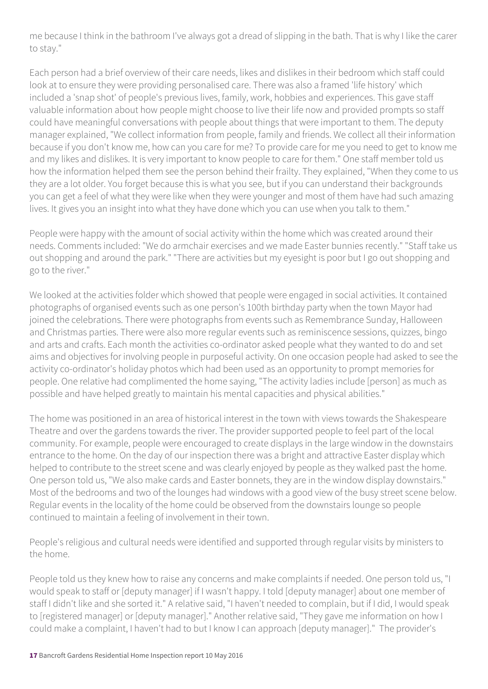me because I think in the bathroom I've always got a dread of slipping in the bath. That is why I like the carer to stay."

Each person had a brief overview of their care needs, likes and dislikes in their bedroom which staff could look at to ensure they were providing personalised care. There was also a framed 'life history' which included a 'snap shot' of people's previous lives, family, work, hobbies and experiences. This gave staff valuable information about how people might choose to live their life now and provided prompts so staff could have meaningful conversations with people about things that were important to them. The deputy manager explained, "We collect information from people, family and friends. We collect all their information because if you don't know me, how can you care for me? To provide care for me you need to get to know me and my likes and dislikes. It is very important to know people to care for them." One staff member told us how the information helped them see the person behind their frailty. They explained, "When they come to us they are a lot older. You forget because this is what you see, but if you can understand their backgrounds you can get a feel of what they were like when they were younger and most of them have had such amazing lives. It gives you an insight into what they have done which you can use when you talk to them."

People were happy with the amount of social activity within the home which was created around their needs. Comments included: "We do armchair exercises and we made Easter bunnies recently." "Staff take us out shopping and around the park." "There are activities but my eyesight is poor but I go out shopping and go to the river."

We looked at the activities folder which showed that people were engaged in social activities. It contained photographs of organised events such as one person's 100th birthday party when the town Mayor had joined the celebrations. There were photographs from events such as Remembrance Sunday, Halloween and Christmas parties. There were also more regular events such as reminiscence sessions, quizzes, bingo and arts and crafts. Each month the activities co-ordinator asked people what they wanted to do and set aims and objectives for involving people in purposeful activity. On one occasion people had asked to see the activity co-ordinator's holiday photos which had been used as an opportunity to prompt memories for people. One relative had complimented the home saying, "The activity ladies include [person] as much as possible and have helped greatly to maintain his mental capacities and physical abilities."

The home was positioned in an area of historical interest in the town with views towards the Shakespeare Theatre and over the gardens towards the river. The provider supported people to feel part of the local community. For example, people were encouraged to create displays in the large window in the downstairs entrance to the home. On the day of our inspection there was a bright and attractive Easter display which helped to contribute to the street scene and was clearly enjoyed by people as they walked past the home. One person told us, "We also make cards and Easter bonnets, they are in the window display downstairs." Most of the bedrooms and two of the lounges had windows with a good view of the busy street scene below. Regular events in the locality of the home could be observed from the downstairs lounge so people continued to maintain a feeling of involvement in their town.

People's religious and cultural needs were identified and supported through regular visits by ministers to the home.

People told us they knew how to raise any concerns and make complaints if needed. One person told us, "I would speak to staff or [deputy manager] if I wasn't happy. I told [deputy manager] about one member of staff I didn't like and she sorted it." A relative said, "I haven't needed to complain, but if I did, I would speak to [registered manager] or [deputy manager]." Another relative said, "They gave me information on how I could make a complaint, I haven't had to but I know I can approach [deputy manager]." The provider's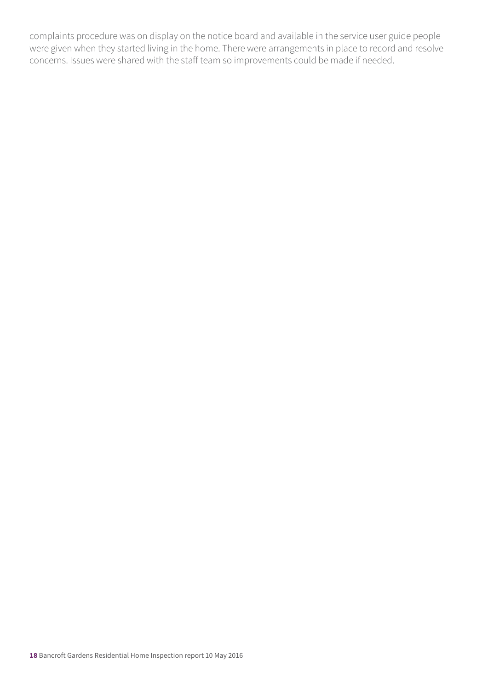complaints procedure was on display on the notice board and available in the service user guide people were given when they started living in the home. There were arrangements in place to record and resolve concerns. Issues were shared with the staff team so improvements could be made if needed.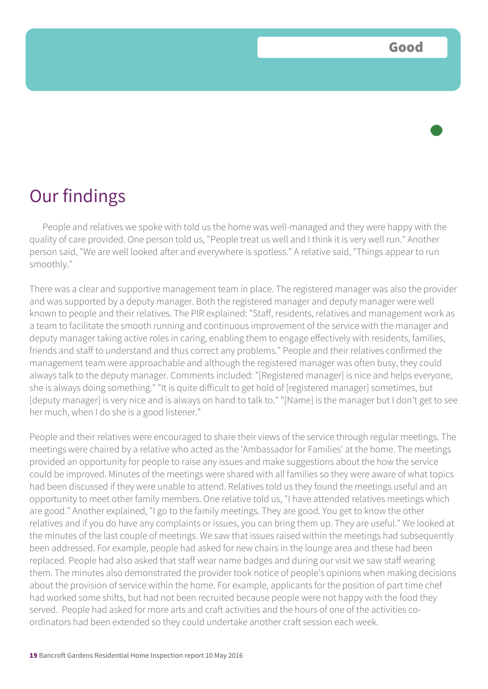People and relatives we spoke with told us the home was well-managed and they were happy with the quality of care provided. One person told us, "People treat us well and I think it is very well run." Another person said, "We are well looked after and everywhere is spotless." A relative said, "Things appear to run smoothly."

There was a clear and supportive management team in place. The registered manager was also the provider and was supported by a deputy manager. Both the registered manager and deputy manager were well known to people and their relatives. The PIR explained: "Staff, residents, relatives and management work as a team to facilitate the smooth running and continuous improvement of the service with the manager and deputy manager taking active roles in caring, enabling them to engage effectively with residents, families, friends and staff to understand and thus correct any problems." People and their relatives confirmed the management team were approachable and although the registered manager was often busy, they could always talk to the deputy manager. Comments included: "[Registered manager] is nice and helps everyone, she is always doing something." "It is quite difficult to get hold of [registered manager] sometimes, but [deputy manager] is very nice and is always on hand to talk to." "[Name] is the manager but I don't get to see her much, when I do she is a good listener."

People and their relatives were encouraged to share their views of the service through regular meetings. The meetings were chaired by a relative who acted as the 'Ambassador for Families' at the home. The meetings provided an opportunity for people to raise any issues and make suggestions about the how the service could be improved. Minutes of the meetings were shared with all families so they were aware of what topics had been discussed if they were unable to attend. Relatives told us they found the meetings useful and an opportunity to meet other family members. One relative told us, "I have attended relatives meetings which are good." Another explained, "I go to the family meetings. They are good. You get to know the other relatives and if you do have any complaints or issues, you can bring them up. They are useful." We looked at the minutes of the last couple of meetings. We saw that issues raised within the meetings had subsequently been addressed. For example, people had asked for new chairs in the lounge area and these had been replaced. People had also asked that staff wear name badges and during our visit we saw staff wearing them. The minutes also demonstrated the provider took notice of people's opinions when making decisions about the provision of service within the home. For example, applicants for the position of part time chef had worked some shifts, but had not been recruited because people were not happy with the food they served. People had asked for more arts and craft activities and the hours of one of the activities coordinators had been extended so they could undertake another craft session each week.